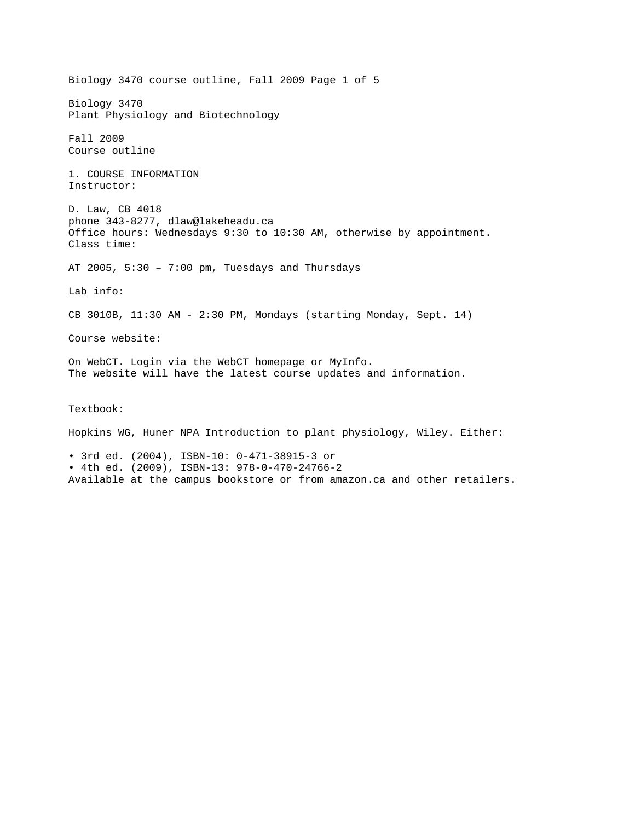Biology 3470 course outline, Fall 2009 Page 1 of 5 Biology 3470 Plant Physiology and Biotechnology Fall 2009 Course outline 1. COURSE INFORMATION Instructor: D. Law, CB 4018 phone 343-8277, dlaw@lakeheadu.ca Office hours: Wednesdays 9:30 to 10:30 AM, otherwise by appointment. Class time: AT 2005, 5:30 – 7:00 pm, Tuesdays and Thursdays Lab info: CB 3010B, 11:30 AM - 2:30 PM, Mondays (starting Monday, Sept. 14) Course website: On WebCT. Login via the WebCT homepage or MyInfo. The website will have the latest course updates and information. Textbook:

Hopkins WG, Huner NPA Introduction to plant physiology, Wiley. Either:

• 3rd ed. (2004), ISBN-10: 0-471-38915-3 or • 4th ed. (2009), ISBN-13: 978-0-470-24766-2 Available at the campus bookstore or from amazon.ca and other retailers.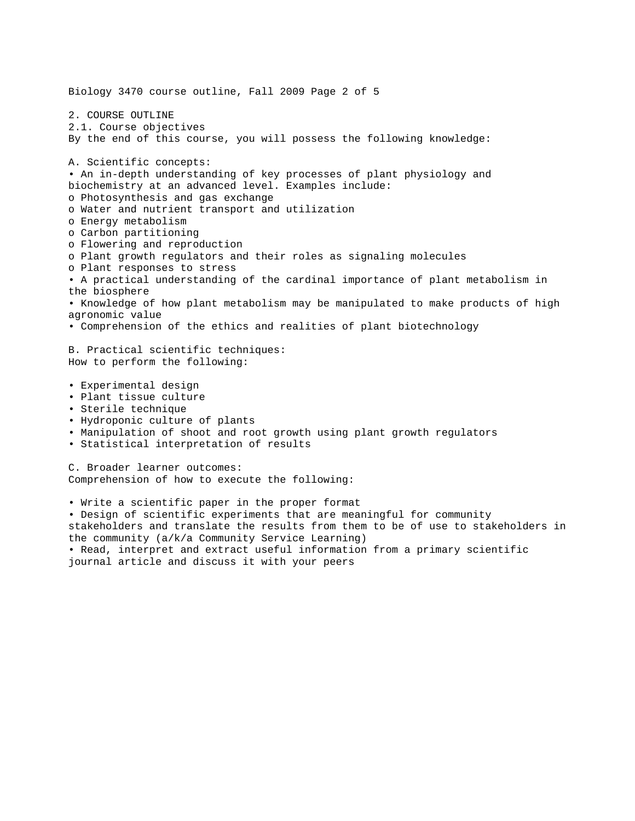Biology 3470 course outline, Fall 2009 Page 2 of 5 2. COURSE OUTLINE 2.1. Course objectives By the end of this course, you will possess the following knowledge: A. Scientific concepts: • An in-depth understanding of key processes of plant physiology and biochemistry at an advanced level. Examples include: o Photosynthesis and gas exchange o Water and nutrient transport and utilization o Energy metabolism o Carbon partitioning o Flowering and reproduction o Plant growth regulators and their roles as signaling molecules o Plant responses to stress • A practical understanding of the cardinal importance of plant metabolism in the biosphere • Knowledge of how plant metabolism may be manipulated to make products of high agronomic value • Comprehension of the ethics and realities of plant biotechnology B. Practical scientific techniques: How to perform the following: • Experimental design • Plant tissue culture • Sterile technique • Hydroponic culture of plants • Manipulation of shoot and root growth using plant growth regulators • Statistical interpretation of results C. Broader learner outcomes: Comprehension of how to execute the following: • Write a scientific paper in the proper format • Design of scientific experiments that are meaningful for community stakeholders and translate the results from them to be of use to stakeholders in

the community (a/k/a Community Service Learning) • Read, interpret and extract useful information from a primary scientific journal article and discuss it with your peers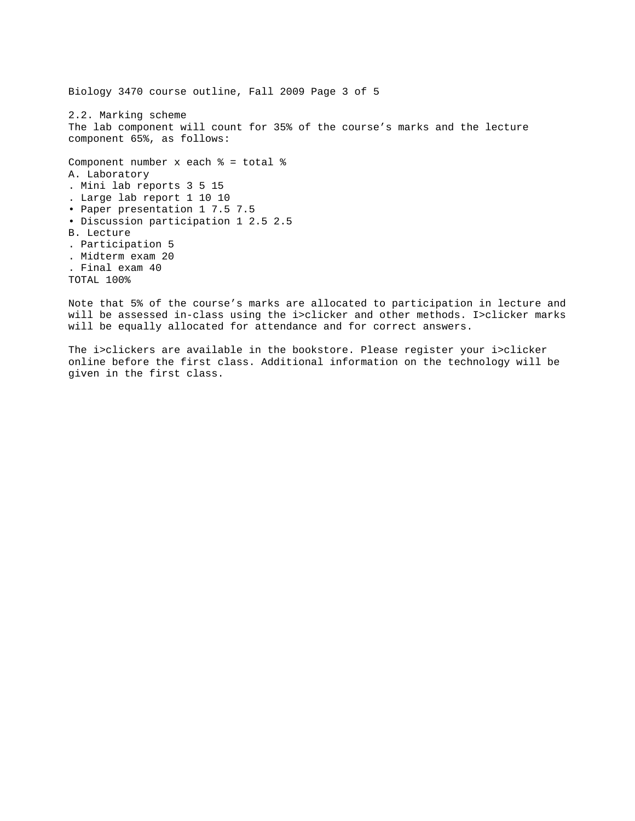Biology 3470 course outline, Fall 2009 Page 3 of 5 2.2. Marking scheme The lab component will count for 35% of the course's marks and the lecture component 65%, as follows: Component number x each % = total % A. Laboratory . Mini lab reports 3 5 15 . Large lab report 1 10 10 • Paper presentation 1 7.5 7.5 • Discussion participation 1 2.5 2.5 B. Lecture . Participation 5 . Midterm exam 20 . Final exam 40 TOTAL 100%

Note that 5% of the course's marks are allocated to participation in lecture and will be assessed in-class using the i>clicker and other methods. I>clicker marks will be equally allocated for attendance and for correct answers.

The i>clickers are available in the bookstore. Please register your i>clicker online before the first class. Additional information on the technology will be given in the first class.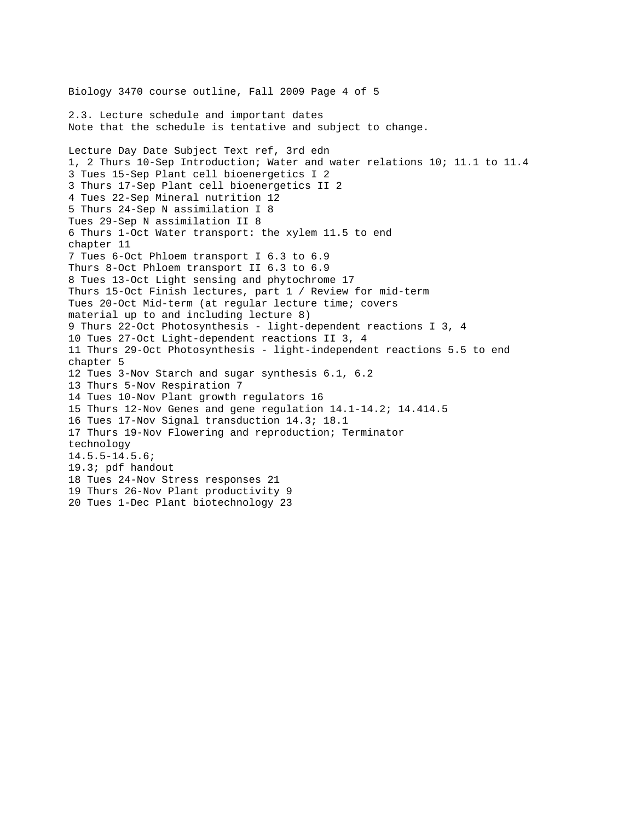Biology 3470 course outline, Fall 2009 Page 4 of 5 2.3. Lecture schedule and important dates Note that the schedule is tentative and subject to change. Lecture Day Date Subject Text ref, 3rd edn 1, 2 Thurs 10-Sep Introduction; Water and water relations 10; 11.1 to 11.4 3 Tues 15-Sep Plant cell bioenergetics I 2 3 Thurs 17-Sep Plant cell bioenergetics II 2 4 Tues 22-Sep Mineral nutrition 12 5 Thurs 24-Sep N assimilation I 8 Tues 29-Sep N assimilation II 8 6 Thurs 1-Oct Water transport: the xylem 11.5 to end chapter 11 7 Tues 6-Oct Phloem transport I 6.3 to 6.9 Thurs 8-Oct Phloem transport II 6.3 to 6.9 8 Tues 13-Oct Light sensing and phytochrome 17 Thurs 15-Oct Finish lectures, part 1 / Review for mid-term Tues 20-Oct Mid-term (at regular lecture time; covers material up to and including lecture 8) 9 Thurs 22-Oct Photosynthesis - light-dependent reactions I 3, 4 10 Tues 27-Oct Light-dependent reactions II 3, 4 11 Thurs 29-Oct Photosynthesis - light-independent reactions 5.5 to end chapter 5 12 Tues 3-Nov Starch and sugar synthesis 6.1, 6.2 13 Thurs 5-Nov Respiration 7 14 Tues 10-Nov Plant growth regulators 16 15 Thurs 12-Nov Genes and gene regulation 14.1-14.2; 14.414.5 16 Tues 17-Nov Signal transduction 14.3; 18.1 17 Thurs 19-Nov Flowering and reproduction; Terminator technology 14.5.5-14.5.6; 19.3; pdf handout 18 Tues 24-Nov Stress responses 21 19 Thurs 26-Nov Plant productivity 9 20 Tues 1-Dec Plant biotechnology 23